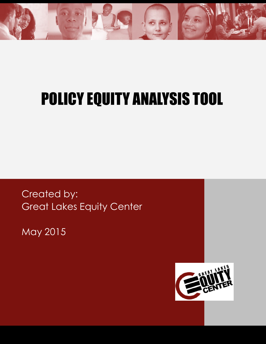

Created by: Great Lakes Equity Center

May 2015

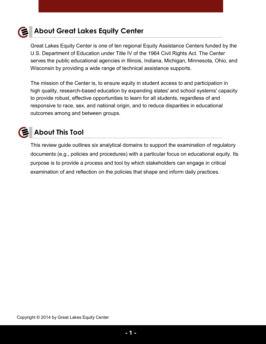

## **About Great Lakes Equity Center**

Great Lakes Equity Center is one of ten regional Equity Assistance Centers funded by the U.S. Department of Education under Title IV of the 1964 Civil Rights Act. The Center serves the public educational agencies in Illinois, Indiana, Michigan, Minnesota, Ohio, and Wisconsin by providing a wide range of technical assistance supports.

The mission of the Center is, to ensure equity in student access to and participation in high quality, research-based education by expanding states' and school systems' capacity to provide robust, effective opportunities to learn for all students, regardless of and responsive to race, sex, and national origin, and to reduce disparities in educational outcomes among and between groups.



## **About This Tool**

This review guide outlines six analytical domains to support the examination of regulatory documents (e.g., policies and procedures) with a particular focus on educational equity. Its purpose is to provide a process and tool by which stakeholders can engage in critical examination of and reflection on the policies that shape and inform daily practices.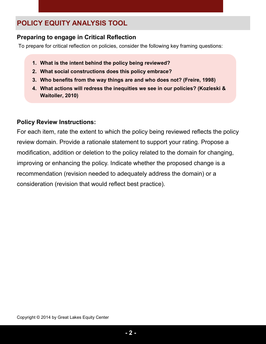#### **Preparing to engage in Critical Reflection**

To prepare for critical reflection on policies, consider the following key framing questions:

- **1. What is the intent behind the policy being reviewed?**
- **2. What social constructions does this policy embrace?**
- **3. Who benefits from the way things are and who does not? (Freire, 1998)**
- **4. What actions will redress the inequities we see in our policies? (Kozleski & Waitoller, 2010)**

#### **Policy Review Instructions:**

For each item, rate the extent to which the policy being reviewed reflects the policy review domain. Provide a rationale statement to support your rating. Propose a modification, addition or deletion to the policy related to the domain for changing, improving or enhancing the policy. Indicate whether the proposed change is a recommendation (revision needed to adequately address the domain) or a consideration (revision that would reflect best practice).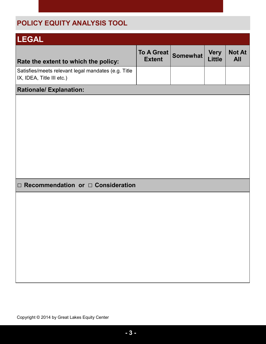| <b>LEGAL</b>                                                                     |                                    |                 |                              |                             |
|----------------------------------------------------------------------------------|------------------------------------|-----------------|------------------------------|-----------------------------|
| Rate the extent to which the policy:                                             | <b>To A Great</b><br><b>Extent</b> | <b>Somewhat</b> | <b>Very</b><br><b>Little</b> | <b>Not At</b><br><b>All</b> |
| Satisfies/meets relevant legal mandates (e.g. Title<br>IX, IDEA, Title III etc.) |                                    |                 |                              |                             |
| <b>Rationale/ Explanation:</b>                                                   |                                    |                 |                              |                             |
|                                                                                  |                                    |                 |                              |                             |
| Recommendation or $\Box$ Consideration<br>$\Box$                                 |                                    |                 |                              |                             |

Copyright © 2014 by Great Lakes Equity Center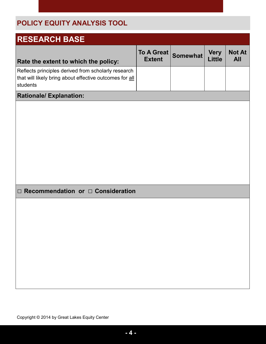| <b>RESEARCH BASE</b>                                                                                                       |                             |          |                              |                             |  |
|----------------------------------------------------------------------------------------------------------------------------|-----------------------------|----------|------------------------------|-----------------------------|--|
| Rate the extent to which the policy:                                                                                       | To A Great<br><b>Extent</b> | Somewhat | <b>Very</b><br><b>Little</b> | <b>Not At</b><br><b>All</b> |  |
| Reflects principles derived from scholarly research<br>that will likely bring about effective outcomes for all<br>students |                             |          |                              |                             |  |
| <b>Rationale/ Explanation:</b>                                                                                             |                             |          |                              |                             |  |
|                                                                                                                            |                             |          |                              |                             |  |

#### **□ Recommendation or □ Consideration**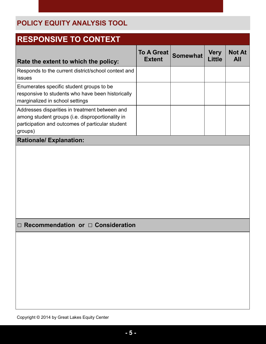| <b>RESPONSIVE TO CONTEXT</b>                                                                                                                                      |                                    |                 |                              |                             |
|-------------------------------------------------------------------------------------------------------------------------------------------------------------------|------------------------------------|-----------------|------------------------------|-----------------------------|
| Rate the extent to which the policy:                                                                                                                              | <b>To A Great</b><br><b>Extent</b> | <b>Somewhat</b> | <b>Very</b><br><b>Little</b> | <b>Not At</b><br><b>All</b> |
| Responds to the current district/school context and<br>issues                                                                                                     |                                    |                 |                              |                             |
| Enumerates specific student groups to be<br>responsive to students who have been historically<br>marginalized in school settings                                  |                                    |                 |                              |                             |
| Addresses disparities in treatment between and<br>among student groups (i.e. disproportionality in<br>participation and outcomes of particular student<br>groups) |                                    |                 |                              |                             |
| <b>Rationale/ Explanation:</b>                                                                                                                                    |                                    |                 |                              |                             |
|                                                                                                                                                                   |                                    |                 |                              |                             |
| $\Box$ Recommendation or $\Box$ Consideration                                                                                                                     |                                    |                 |                              |                             |
|                                                                                                                                                                   |                                    |                 |                              |                             |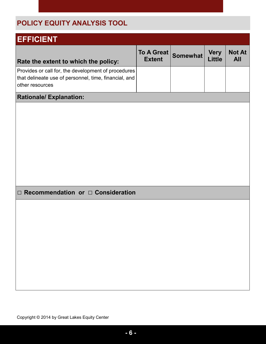| <b>EFFICIENT</b>                                                                                                                |                             |                 |                              |                             |
|---------------------------------------------------------------------------------------------------------------------------------|-----------------------------|-----------------|------------------------------|-----------------------------|
| Rate the extent to which the policy:                                                                                            | To A Great<br><b>Extent</b> | <b>Somewhat</b> | <b>Very</b><br><b>Little</b> | <b>Not At</b><br><b>All</b> |
| Provides or call for, the development of procedures<br>that delineate use of personnel, time, financial, and<br>other resources |                             |                 |                              |                             |
| <b>Rationale/Explanation:</b>                                                                                                   |                             |                 |                              |                             |
|                                                                                                                                 |                             |                 |                              |                             |

#### **□ Recommendation or □ Consideration**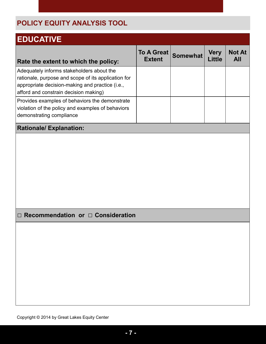| <b>EDUCATIVE</b>                                                                                                                                                                             |                             |                 |                       |                             |
|----------------------------------------------------------------------------------------------------------------------------------------------------------------------------------------------|-----------------------------|-----------------|-----------------------|-----------------------------|
| Rate the extent to which the policy:                                                                                                                                                         | To A Great<br><b>Extent</b> | <b>Somewhat</b> | <b>Very</b><br>Little | <b>Not At</b><br><b>All</b> |
| Adequately informs stakeholders about the<br>rationale, purpose and scope of its application for<br>appropriate decision-making and practice (i.e.,<br>afford and constrain decision making) |                             |                 |                       |                             |
| Provides examples of behaviors the demonstrate<br>violation of the policy and examples of behaviors<br>demonstrating compliance                                                              |                             |                 |                       |                             |
| <b>Rationale/ Explanation:</b>                                                                                                                                                               |                             |                 |                       |                             |
|                                                                                                                                                                                              |                             |                 |                       |                             |

#### **□ Recommendation or □ Consideration**

Copyright © 2014 by Great Lakes Equity Center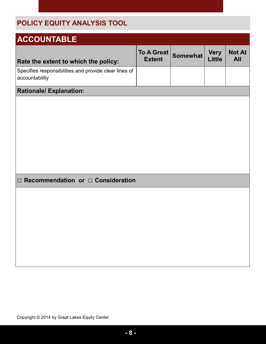| <b>ACCOUNTABLE</b>                                                      |                             |                 |                              |                             |
|-------------------------------------------------------------------------|-----------------------------|-----------------|------------------------------|-----------------------------|
| Rate the extent to which the policy:                                    | To A Great<br><b>Extent</b> | <b>Somewhat</b> | <b>Very</b><br><b>Little</b> | <b>Not At</b><br><b>All</b> |
| Specifies responsibilities and provide clear lines of<br>accountability |                             |                 |                              |                             |
| <b>Rationale/ Explanation:</b>                                          |                             |                 |                              |                             |
|                                                                         |                             |                 |                              |                             |
|                                                                         |                             |                 |                              |                             |
|                                                                         |                             |                 |                              |                             |
|                                                                         |                             |                 |                              |                             |
|                                                                         |                             |                 |                              |                             |
|                                                                         |                             |                 |                              |                             |
|                                                                         |                             |                 |                              |                             |
|                                                                         |                             |                 |                              |                             |
| Recommendation or $\Box$ Consideration<br>$\Box$                        |                             |                 |                              |                             |
|                                                                         |                             |                 |                              |                             |
|                                                                         |                             |                 |                              |                             |
|                                                                         |                             |                 |                              |                             |
|                                                                         |                             |                 |                              |                             |
|                                                                         |                             |                 |                              |                             |
|                                                                         |                             |                 |                              |                             |
|                                                                         |                             |                 |                              |                             |
|                                                                         |                             |                 |                              |                             |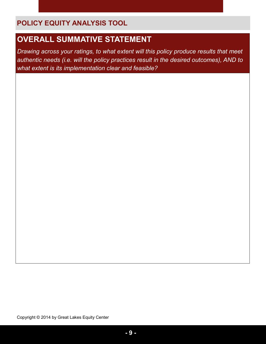## **OVERALL SUMMATIVE STATEMENT**

*Drawing across your ratings, to what extent will this policy produce results that meet authentic needs (i.e. will the policy practices result in the desired outcomes), AND to what extent is its implementation clear and feasible?*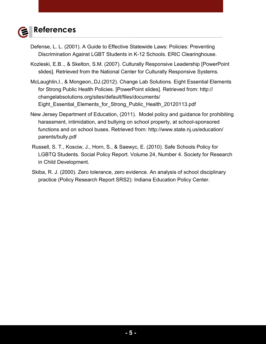#### **References** (ź

- Defense, L. L. (2001). A Guide to Effective Statewide Laws: Policies: Preventing Discrimination Against LGBT Students in K-12 Schools. ERIC Clearinghouse.
- Kozleski, E.B.., & Skelton, S.M. (2007). Culturally Responsive Leadership [PowerPoint slides]. Retrieved from the National Center for Culturally Responsive Systems.
- McLaughlin,I., & Mongeon,.DJ.(2012). Change Lab Solutions. Eight Essential Elements for Strong Public Health Policies. [PowerPoint slides]. Retrieved from: http:// changelabsolutions.org/sites/default/files/documents/ Eight\_Essential\_Elements\_for\_Strong\_Public\_Health\_20120113.pdf
- New Jersey Department of Education, (2011). Model policy and guidance for prohibiting harassment, intimidation, and bullying on school property, at school-sponsored functions and on school buses. Retrieved from: http://www.state.nj.us/education/ parents/bully.pdf
- Russell, S. T., Kosciw, J., Horn, S., & Saewyc, E. (2010). Safe Schools Policy for LGBTQ Students. Social Policy Report. Volume 24, Number 4. Society for Research in Child Development.
- Skiba, R. J. (2000). Zero tolerance, zero evidence. An analysis of school disciplinary practice (Policy Research Report SRS2): Indiana Education Policy Center.